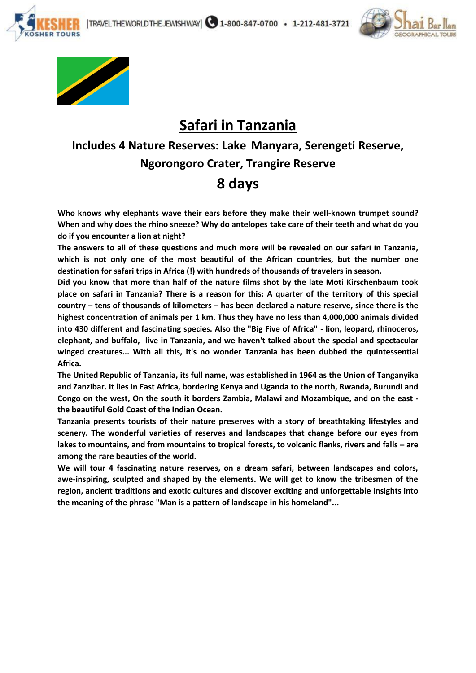





**SHER TOURS** 

# **Safari in Tanzania**

## **Includes 4 Nature Reserves: Lake Manyara, Serengeti Reserve, Ngorongoro Crater, Trangire Reserve 8 days**

**Who knows why elephants wave their ears before they make their well-known trumpet sound? When and why does the rhino sneeze? Why do antelopes take care of their teeth and what do you do if you encounter a lion at night?**

**The answers to all of these questions and much more will be revealed on our safari in Tanzania, which is not only one of the most beautiful of the African countries, but the number one destination for safari trips in Africa (!) with hundreds of thousands of travelers in season.**

**Did you know that more than half of the nature films shot by the late Moti Kirschenbaum took place on safari in Tanzania? There is a reason for this: A quarter of the territory of this special country – tens of thousands of kilometers – has been declared a nature reserve, since there is the highest concentration of animals per 1 km. Thus they have no less than 4,000,000 animals divided into 430 different and fascinating species. Also the "Big Five of Africa" - lion, leopard, rhinoceros, elephant, and buffalo, live in Tanzania, and we haven't talked about the special and spectacular winged creatures... With all this, it's no wonder Tanzania has been dubbed the quintessential Africa.**

**The United Republic of Tanzania, its full name, was established in 1964 as the Union of Tanganyika and Zanzibar. It lies in East Africa, bordering Kenya and Uganda to the north, Rwanda, Burundi and Congo on the west, On the south it borders Zambia, Malawi and Mozambique, and on the east the beautiful Gold Coast of the Indian Ocean.**

**Tanzania presents tourists of their nature preserves with a story of breathtaking lifestyles and scenery. The wonderful varieties of reserves and landscapes that change before our eyes from lakes to mountains, and from mountains to tropical forests, to volcanic flanks, rivers and falls – are among the rare beauties of the world.**

**We will tour 4 fascinating nature reserves, on a dream safari, between landscapes and colors, awe-inspiring, sculpted and shaped by the elements. We will get to know the tribesmen of the region, ancient traditions and exotic cultures and discover exciting and unforgettable insights into the meaning of the phrase "Man is a pattern of landscape in his homeland"...**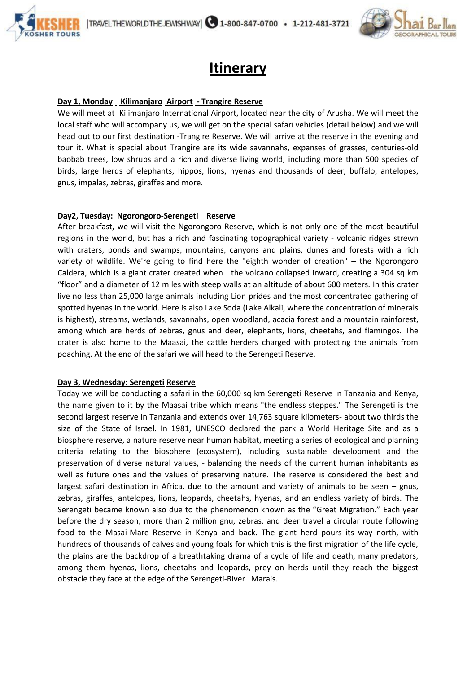

# **Itinerary**

### **Day 1, Monday Kilimanjaro Airport - Trangire Reserve**

**OSHER TOURS** 

We will meet at Kilimanjaro International Airport, located near the city of Arusha. We will meet the local staff who will accompany us, we will get on the special safari vehicles (detail below) and we will head out to our first destination -Trangire Reserve. We will arrive at the reserve in the evening and tour it. What is special about Trangire are its wide savannahs, expanses of grasses, centuries-old baobab trees, low shrubs and a rich and diverse living world, including more than 500 species of birds, large herds of elephants, hippos, lions, hyenas and thousands of deer, buffalo, antelopes, gnus, impalas, zebras, giraffes and more.

## **Day2, Tuesday: Ngorongoro-Serengeti Reserve**

After breakfast, we will visit the Ngorongoro Reserve, which is not only one of the most beautiful regions in the world, but has a rich and fascinating topographical variety - volcanic ridges strewn with craters, ponds and swamps, mountains, canyons and plains, dunes and forests with a rich variety of wildlife. We're going to find here the "eighth wonder of creation" – the Ngorongoro Caldera, which is a giant crater created when the volcano collapsed inward, creating a 304 sq km "floor" and a diameter of 12 miles with steep walls at an altitude of about 600 meters. In this crater live no less than 25,000 large animals including Lion prides and the most concentrated gathering of spotted hyenas in the world. Here is also Lake Soda (Lake Alkali, where the concentration of minerals is highest), streams, wetlands, savannahs, open woodland, acacia forest and a mountain rainforest, among which are herds of zebras, gnus and deer, elephants, lions, cheetahs, and flamingos. The crater is also home to the Maasai, the cattle herders charged with protecting the animals from poaching. At the end of the safari we will head to the Serengeti Reserve.

#### **Day 3, Wednesday: Serengeti Reserve**

Today we will be conducting a safari in the 60,000 sq km Serengeti Reserve in Tanzania and Kenya, the name given to it by the Maasai tribe which means "the endless steppes." The Serengeti is the second largest reserve in Tanzania and extends over 14,763 square kilometers- about two thirds the size of the State of Israel. In 1981, UNESCO declared the park a World Heritage Site and as a biosphere reserve, a nature reserve near human habitat, meeting a series of ecological and planning criteria relating to the biosphere (ecosystem), including sustainable development and the preservation of diverse natural values, - balancing the needs of the current human inhabitants as well as future ones and the values of preserving nature. The reserve is considered the best and largest safari destination in Africa, due to the amount and variety of animals to be seen – gnus, zebras, giraffes, antelopes, lions, leopards, cheetahs, hyenas, and an endless variety of birds. The Serengeti became known also due to the phenomenon known as the "Great Migration." Each year before the dry season, more than 2 million gnu, zebras, and deer travel a circular route following food to the Masai-Mare Reserve in Kenya and back. The giant herd pours its way north, with hundreds of thousands of calves and young foals for which this is the first migration of the life cycle, the plains are the backdrop of a breathtaking drama of a cycle of life and death, many predators, among them hyenas, lions, cheetahs and leopards, prey on herds until they reach the biggest obstacle they face at the edge of the Serengeti-River Marais.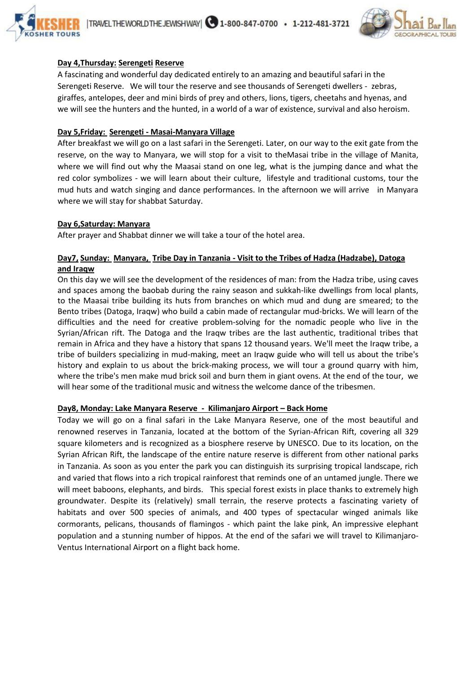



### **Day 4,Thursday: Serengeti Reserve**

A fascinating and wonderful day dedicated entirely to an amazing and beautiful safari in the Serengeti Reserve. We will tour the reserve and see thousands of Serengeti dwellers - zebras, giraffes, antelopes, deer and mini birds of prey and others, lions, tigers, cheetahs and hyenas, and we will see the hunters and the hunted, in a world of a war of existence, survival and also heroism.

#### **Day 5,Friday: Serengeti - Masai-Manyara Village**

After breakfast we will go on a last safari in the Serengeti. Later, on our way to the exit gate from the reserve, on the way to Manyara, we will stop for a visit to theMasai tribe in the village of Manita, where we will find out why the Maasai stand on one leg, what is the jumping dance and what the red color symbolizes - we will learn about their culture, lifestyle and traditional customs, tour the mud huts and watch singing and dance performances. In the afternoon we will arrive in Manyara where we will stay for shabbat Saturday.

## **Day 6,Saturday: Manyara**

After prayer and Shabbat dinner we will take a tour of the hotel area.

### **Day7, Sunday: Manyara, Tribe Day in Tanzania - Visit to the Tribes of Hadza (Hadzabe), Datoga and Iraqw**

On this day we will see the development of the residences of man: from the Hadza tribe, using caves and spaces among the baobab during the rainy season and sukkah-like dwellings from local plants, to the Maasai tribe building its huts from branches on which mud and dung are smeared; to the Bento tribes (Datoga, Iraqw) who build a cabin made of rectangular mud-bricks. We will learn of the difficulties and the need for creative problem-solving for the nomadic people who live in the Syrian/African rift. The Datoga and the Iraqw tribes are the last authentic, traditional tribes that remain in Africa and they have a history that spans 12 thousand years. We'll meet the Iraqw tribe, a tribe of builders specializing in mud-making, meet an Iraqw guide who will tell us about the tribe's history and explain to us about the brick-making process, we will tour a ground quarry with him, where the tribe's men make mud brick soil and burn them in giant ovens. At the end of the tour, we will hear some of the traditional music and witness the welcome dance of the tribesmen.

#### **Day8, Monday: Lake Manyara Reserve - Kilimanjaro Airport – Back Home**

Today we will go on a final safari in the Lake Manyara Reserve, one of the most beautiful and renowned reserves in Tanzania, located at the bottom of the Syrian-African Rift, covering all 329 square kilometers and is recognized as a biosphere reserve by UNESCO. Due to its location, on the Syrian African Rift, the landscape of the entire nature reserve is different from other national parks in Tanzania. As soon as you enter the park you can distinguish its surprising tropical landscape, rich and varied that flows into a rich tropical rainforest that reminds one of an untamed jungle. There we will meet baboons, elephants, and birds. This special forest exists in place thanks to extremely high groundwater. Despite its (relatively) small terrain, the reserve protects a fascinating variety of habitats and over 500 species of animals, and 400 types of spectacular winged animals like cormorants, pelicans, thousands of flamingos - which paint the lake pink, An impressive elephant population and a stunning number of hippos. At the end of the safari we will travel to Kilimanjaro-Ventus International Airport on a flight back home.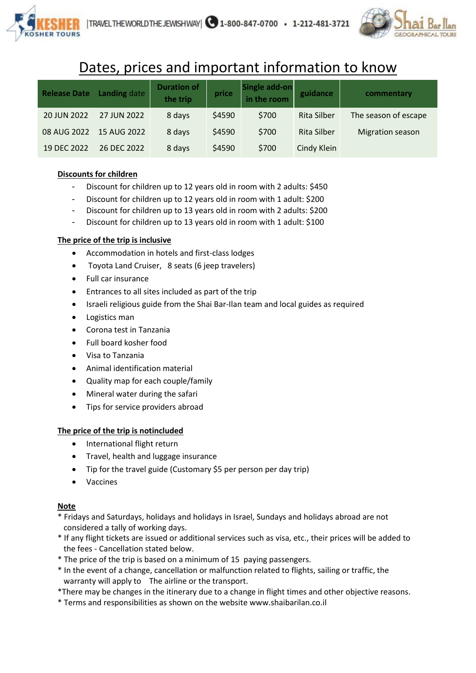

# Dates, prices and important information to know

| <b>Release Date</b> | Landing date | <b>Duration of</b><br>the trip | price  | Single add-on<br>in the room | guidance           | commentary              |
|---------------------|--------------|--------------------------------|--------|------------------------------|--------------------|-------------------------|
| 20 JUN 2022         | 27 JUN 2022  | 8 days                         | \$4590 | \$700                        | <b>Rita Silber</b> | The season of escape    |
| 08 AUG 2022         | 15 AUG 2022  | 8 days                         | \$4590 | \$700                        | Rita Silber        | <b>Migration season</b> |
| 19 DEC 2022         | 26 DEC 2022  | 8 days                         | \$4590 | \$700                        | Cindy Klein        |                         |

## **Discounts for children**

- Discount for children up to 12 years old in room with 2 adults: \$450
- Discount for children up to 12 years old in room with 1 adult: \$200
- Discount for children up to 13 years old in room with 2 adults: \$200
- Discount for children up to 13 years old in room with 1 adult: \$100

## **The price of the trip is inclusive**

- Accommodation in hotels and first-class lodges
- Toyota Land Cruiser, 8 seats (6 jeep travelers)
- Full car insurance
- Entrances to all sites included as part of the trip
- Israeli religious guide from the Shai Bar-Ilan team and local guides as required
- Logistics man
- Corona test in Tanzania
- Full board kosher food
- Visa to Tanzania
- Animal identification material
- Quality map for each couple/family
- Mineral water during the safari
- Tips for service providers abroad

#### **The price of the trip is notincluded**

- International flight return
- Travel, health and luggage insurance
- Tip for the travel guide (Customary \$5 per person per day trip)
- Vaccines

#### **Note**

- \* Fridays and Saturdays, holidays and holidays in Israel, Sundays and holidays abroad are not considered a tally of working days.
- \* If any flight tickets are issued or additional services such as visa, etc., their prices will be added to the fees - Cancellation stated below.
- \* The price of the trip is based on a minimum of 15 paying passengers.
- \* In the event of a change, cancellation or malfunction related to flights, sailing or traffic, the warranty will apply to The airline or the transport.
- \*There may be changes in the itinerary due to a change in flight times and other objective reasons.
- \* Terms and responsibilities as shown on the website www.shaibarilan.co.il